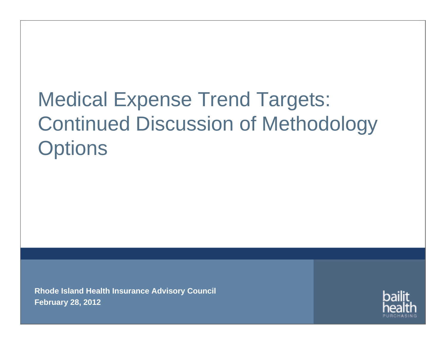# Medical Expense Trend Targets: Continued Discussion of Methodology **Options**

**Rhode Island Health Insurance Advisory Council February 28, 2012**

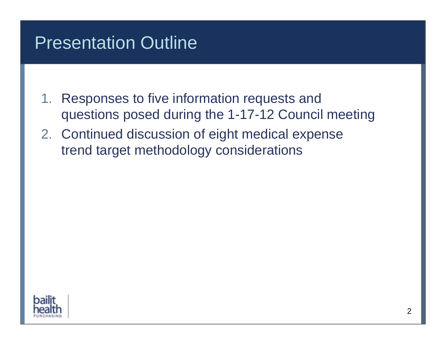#### Presentation Outline

- 1. Responses to five information requests and questions posed during the 1-17-12 Council meeting
- 2. Continued discussion of eight medical expense trend target methodology considerations

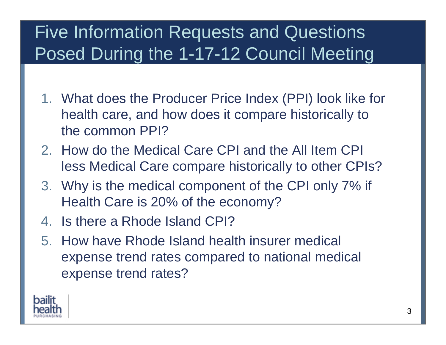## Five Information Requests and Questions Posed During the 1-17-12 Council Meeting

- 1. What does the Producer Price Index (PPI) look like for health care, and how does it compare historically to the common PPI?
- 2. How do the Medical Care CPI and the All Item CPI less Medical Care compare historically to other CPIs?
- 3. Why is the medical component of the CPI only 7% if Health Care is 20% of the economy?
- 4. Is there a Rhode Island CPI?
- 5. How have Rhode Island health insurer medical expense trend rates compared to national medical expense trend rates?

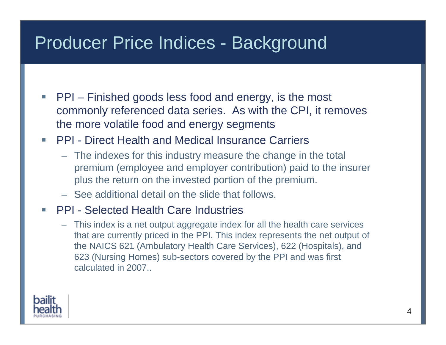#### Producer Price Indices - Background

- I. PPI – Finished goods less food and energy, is the most commonly referenced data series. As with the CPI, it removes the more volatile food and energy segments
- PPI Direct Health and Medical Insurance Carriers
	- The indexes for this industry measure the change in the total premium (employee and employer contribution) paid to the insurer plus the return on the invested portion of the premium.
	- See additional detail on the slide that follows.
- Г PPI - Selected Health Care Industries
	- This index is a net output aggregate index for all the health care services that are currently priced in the PPI. This index represents the net output of the NAICS 621 (Ambulatory Health Care Services), 622 (Hospitals), and 623 (Nursing Homes) sub-sectors covered by the PPI and was first calculated in 2007..

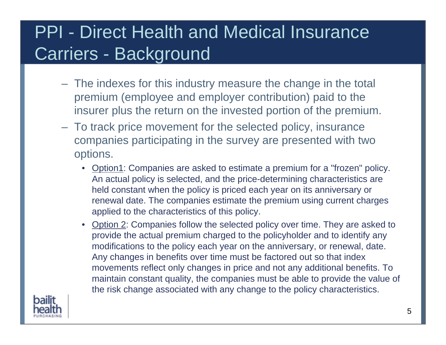#### PPI - Direct Health and Medical Insurance Carriers - Background

- The indexes for this industry measure the change in the total premium (employee and employer contribution) paid to the insurer plus the return on the invested portion of the premium.
- To track price movement for the selected policy, insurance companies participating in the survey are presented with two options.
	- Option1: Companies are asked to estimate a premium for a "frozen" policy. An actual policy is selected, and the price-determining characteristics are held constant when the policy is priced each year on its anniversary or renewal date. The companies estimate the premium using current charges applied to the characteristics of this policy.
	- Option 2: Companies follow the selected policy over time. They are asked to provide the actual premium charged to the policyholder and to identify any modifications to the policy each year on the anniversary, or renewal, date. Any changes in benefits over time must be factored out so that index movements reflect only changes in price and not any additional benefits. To maintain constant quality, the companies must be able to provide the value of the risk change associated with any change to the policy characteristics.

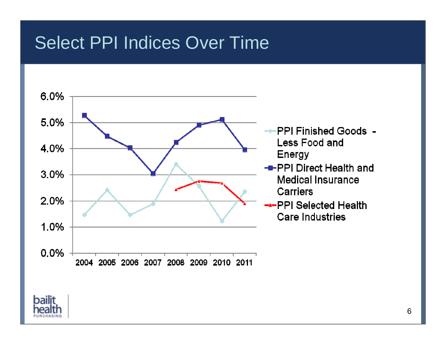#### Select PPI Indices Over Time



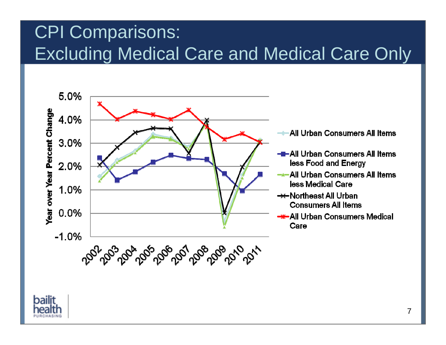## CPI Comparisons: Excluding Medical Care and Medical Care Only



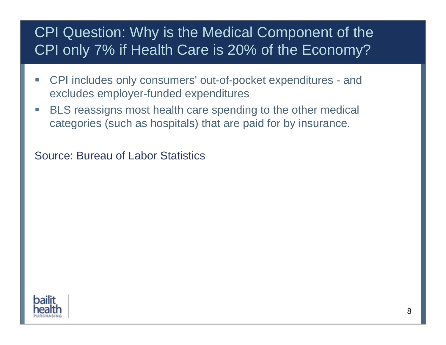#### CPI Question: Why is the Medical Component of the CPI only 7% if Health Care is 20% of the Economy?

- $\Box$  CPI includes only consumers' out-of-pocket expenditures - and excludes employer-funded expenditures
- $\mathcal{L}_{\mathcal{A}}$  BLS reassigns most health care spending to the other medical categories (such as hospitals) that are paid for by insurance.

Source: Bureau of Labor Statistics

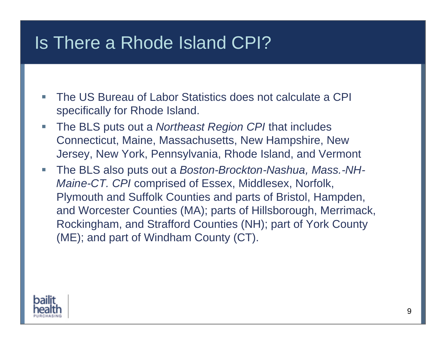#### Is There a Rhode Island CPI?

- I. The US Bureau of Labor Statistics does not calculate a CPI specifically for Rhode Island.
- $\mathcal{L}_{\mathcal{A}}$  The BLS puts out a *Northeast Region CPI* that includes Connecticut, Maine, Massachusetts, New Hampshire, New Jersey, New York, Pennsylvania, Rhode Island, and Vermont
- $\Box$  The BLS also puts out a *Boston-Brockton-Nashua, Mass.-NH-Maine-CT. CPI* comprised of Essex, Middlesex, Norfolk, Plymouth and Suffolk Counties and parts of Bristol, Hampden, and Worcester Counties (MA); parts of Hillsborough, Merrimack, Rockingham, and Strafford Counties (NH); part of York County (ME); and part of Windham County (CT).

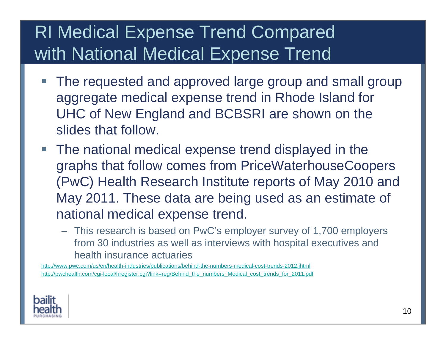## RI Medical Expense Trend Compared with National Medical Expense Trend

- Г The requested and approved large group and small group aggregate medical expense trend in Rhode Island for UHC of New England and BCBSRI are shown on the slides that follow.
- The national medical expense trend displayed in the graphs that follow comes from PriceWaterhouseCoopers (PwC) Health Research Institute reports of May 2010 and May 2011. These data are being used as an estimate of national medical expense trend.
	- This research is based on PwC's employer survey of 1,700 employers from 30 industries as well as interviews with hospital executives and health insurance actuaries

<http://www.pwc.com/us/en/health-industries/publications/behind-the-numbers-medical-cost-trends-2012.jhtml> [http://pwchealth.com/cgi-local/hregister.cgi?link=reg/Behind\\_the\\_numbers\\_Medical\\_cost\\_trends\\_for\\_2011.pdf](http://pwchealth.com/cgi-local/hregister.cgi?link=reg/Behind_the_numbers_Medical_cost_trends_for_2011.pdf)

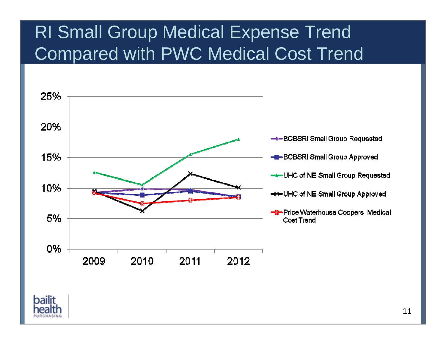#### RI Small Group Medical Expense Trend Compared with PWC Medical Cost Trend



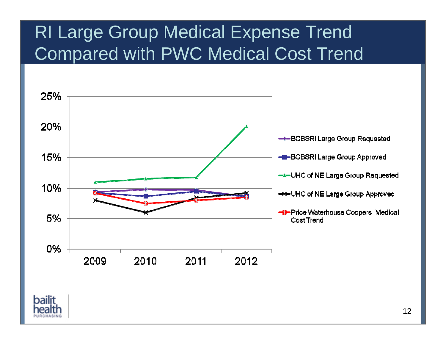#### RI Large Group Medical Expense Trend Compared with PWC Medical Cost Trend



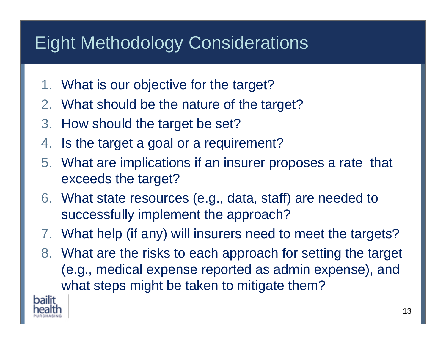#### Eight Methodology Considerations

- 1. What is our objective for the target?
- 2. What should be the nature of the target?
- 3. How should the target be set?
- 4. Is the target a goal or a requirement?
- 5. What are implications if an insurer proposes a rate that exceeds the target?
- 6. What state resources (e.g., data, staff) are needed to successfully implement the approach?
- 7. What help (if any) will insurers need to meet the targets?
- 8. What are the risks to each approach for setting the target (e.g., medical expense reported as admin expense), and what steps might be taken to mitigate them?

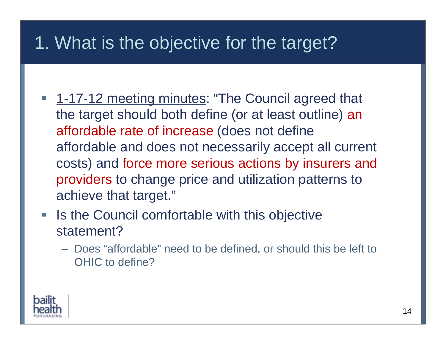#### 1. What is the objective for the target?

- **1-17-12 meeting minutes: "The Council agreed that** the target should both define (or at least outline) an affordable rate of increase (does not define affordable and does not necessarily accept all current costs) and force more serious actions by insurers and providers to change price and utilization patterns to achieve that target."
- $\mathbb{R}^3$  Is the Council comfortable with this objective statement?
	- Does "affordable" need to be defined, or should this be left to OHIC to define?

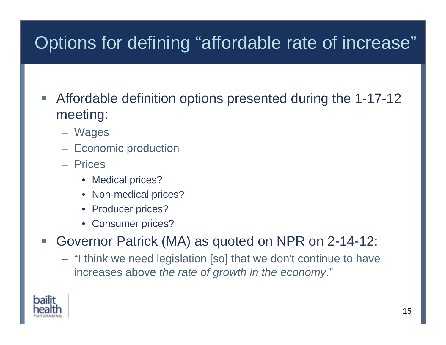## Options for defining "affordable rate of increase"

- Г Affordable definition options presented during the 1-17-12 meeting:
	- Wages
	- Economic production
	- Prices
		- Medical prices?
		- Non-medical prices?
		- Producer prices?
		- Consumer prices?

Г Governor Patrick (MA) as quoted on NPR on 2-14-12:

– "I think we need legislation [so] that we don't continue to have increases above *the rate of growth in the economy*."

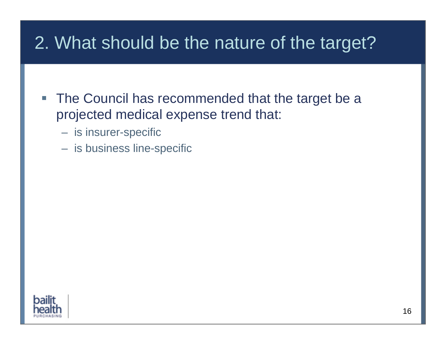#### 2. What should be the nature of the target?

- **The Council has recommended that the target be a** projected medical expense trend that:
	- is insurer-specific
	- is business line-specific

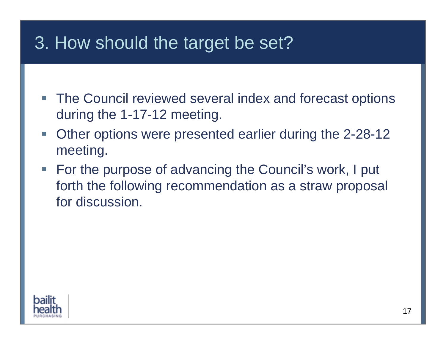- **The Council reviewed several index and forecast options** during the 1-17-12 meeting.
- $\mathcal{L}_{\mathcal{A}}$  Other options were presented earlier during the 2-28-12 meeting.
- For the purpose of advancing the Council's work, I put forth the following recommendation as a straw proposal for discussion.

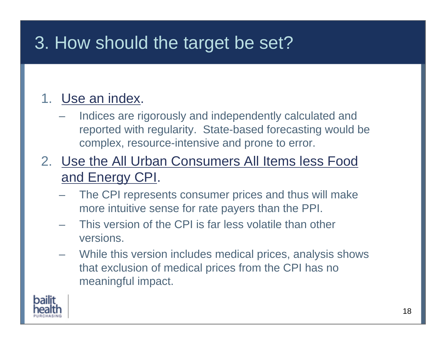#### 1. Use an index.

- Indices are rigorously and independently calculated and reported with regularity. State-based forecasting would be complex, resource-intensive and prone to error.
- 2. Use the All Urban Consumers All Items less Food and Energy CPI.
	- The CPI represents consumer prices and thus will make more intuitive sense for rate payers than the PPI.
	- This version of the CPI is far less volatile than other versions.
	- While this version includes medical prices, analysis shows that exclusion of medical prices from the CPI has no meaningful impact.

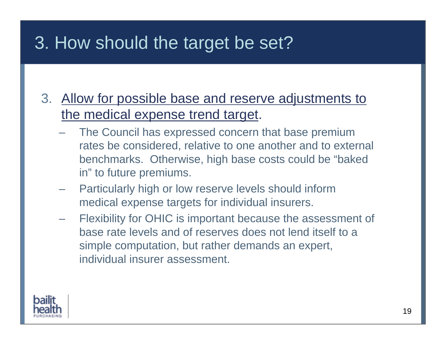- 3. Allow for possible base and reserve adjustments to the medical expense trend target.
	- The Council has expressed concern that base premium rates be considered, relative to one another and to external benchmarks. Otherwise, high base costs could be "baked in" to future premiums.
	- Particularly high or low reserve levels should inform medical expense targets for individual insurers.
	- Flexibility for OHIC is important because the assessment of base rate levels and of reserves does not lend itself to a simple computation, but rather demands an expert, individual insurer assessment.

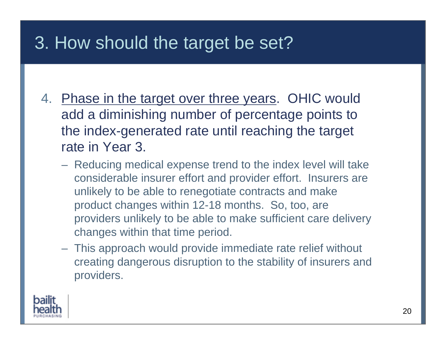- 4. Phase in the target over three years. OHIC would add a diminishing number of percentage points to the index-generated rate until reaching the target rate in Year 3.
	- Reducing medical expense trend to the index level will take considerable insurer effort and provider effort. Insurers are unlikely to be able to renegotiate contracts and make product changes within 12-18 months. So, too, are providers unlikely to be able to make sufficient care delivery changes within that time period.
	- This approach would provide immediate rate relief without creating dangerous disruption to the stability of insurers and providers.

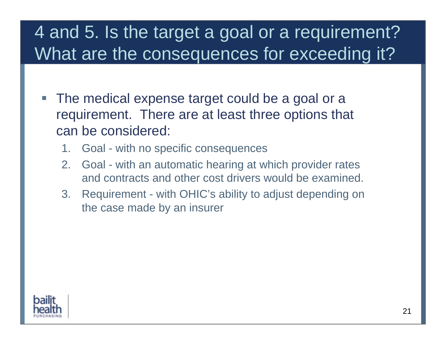### 4 and 5. Is the target a goal or a requirement? What are the consequences for exceeding it?

- Г The medical expense target could be a goal or a requirement. There are at least three options that can be considered:
	- 1. Goal with no specific consequences
	- 2. Goal with an automatic hearing at which provider rates and contracts and other cost drivers would be examined.
	- 3. Requirement with OHIC's ability to adjust depending on the case made by an insurer

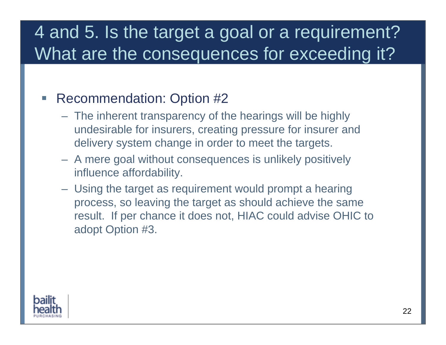### 4 and 5. Is the target a goal or a requirement? What are the consequences for exceeding it?

#### Г Recommendation: Option #2

- The inherent transparency of the hearings will be highly undesirable for insurers, creating pressure for insurer and delivery system change in order to meet the targets.
- A mere goal without consequences is unlikely positively influence affordability.
- Using the target as requirement would prompt a hearing process, so leaving the target as should achieve the same result. If per chance it does not, HIAC could advise OHIC to adopt Option #3.